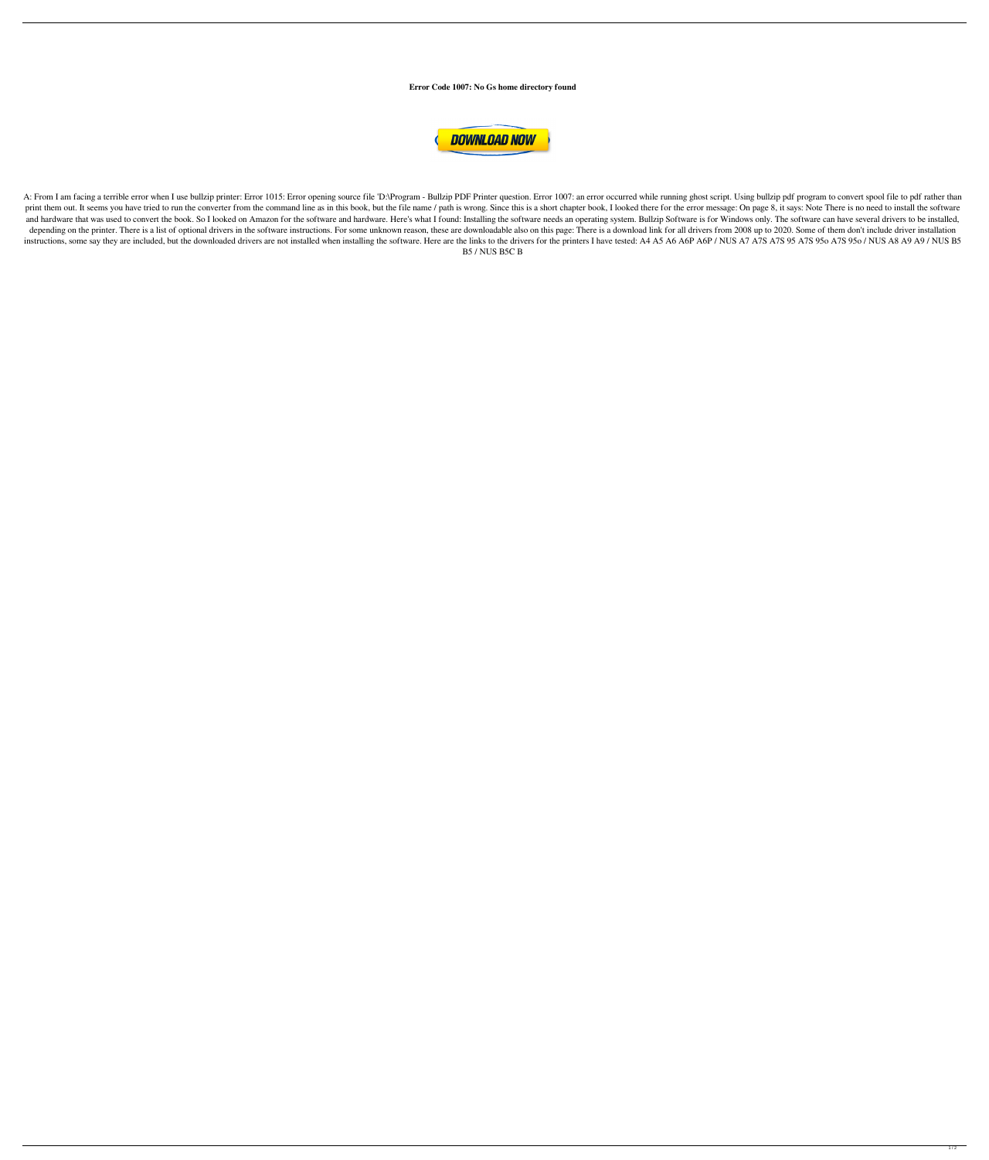**Error Code 1007: No Gs home directory found**



A: From I am facing a terrible error when I use bullzip printer: Error 1015: Error opening source file 'D:\Program - Bullzip PDF Printer question. Error 1007: an error occurred while running ghost script. Using bullzip pdf print them out. It seems you have tried to run the converter from the command line as in this book, but the file name / path is wrong. Since this is a short chapter book, I looked there for the error message: On page 8, it and hardware that was used to convert the book. So I looked on Amazon for the software and hardware. Here's what I found: Installing the software needs an operating system. Bullzip Software is for Windows only. The softwar depending on the printer. There is a list of optional drivers in the software instructions. For some unknown reason, these are downloadable also on this page: There is a download link for all drivers from 2008 up to 2020. instructions, some say they are included, but the downloaded drivers are not installed when installing the software. Here are the links to the drivers for the printers I have tested: A4 A5 A6 A6P A6P / NUS A7 A7S A7S 95 A7 B5 / NUS B5C B